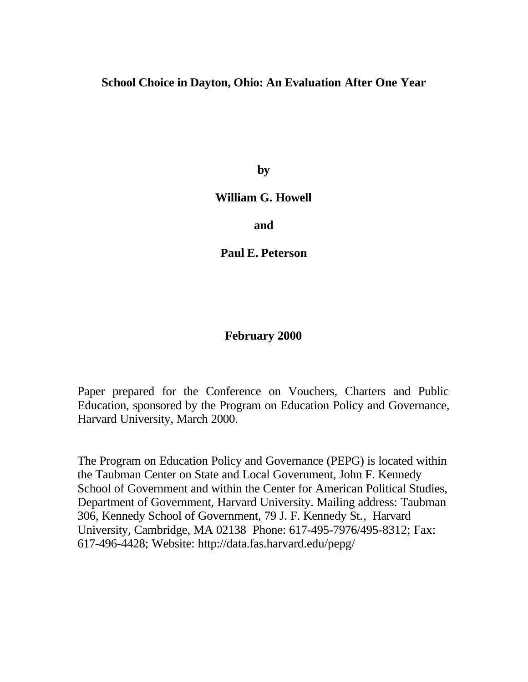# **School Choice in Dayton, Ohio: An Evaluation After One Year**

**by**

## **William G. Howell**

**and**

**Paul E. Peterson**

# **February 2000**

Paper prepared for the Conference on Vouchers, Charters and Public Education, sponsored by the Program on Education Policy and Governance, Harvard University, March 2000.

The Program on Education Policy and Governance (PEPG) is located within the Taubman Center on State and Local Government, John F. Kennedy School of Government and within the Center for American Political Studies, Department of Government, Harvard University. Mailing address: Taubman 306, Kennedy School of Government, 79 J. F. Kennedy St., Harvard University, Cambridge, MA 02138 Phone: 617-495-7976/495-8312; Fax: 617-496-4428; Website: http://data.fas.harvard.edu/pepg/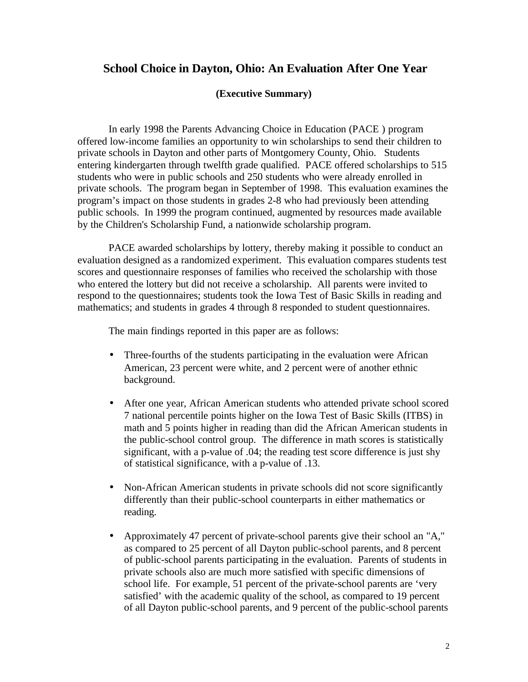### **School Choice in Dayton, Ohio: An Evaluation After One Year**

#### **(Executive Summary)**

In early 1998 the Parents Advancing Choice in Education (PACE ) program offered low-income families an opportunity to win scholarships to send their children to private schools in Dayton and other parts of Montgomery County, Ohio. Students entering kindergarten through twelfth grade qualified. PACE offered scholarships to 515 students who were in public schools and 250 students who were already enrolled in private schools. The program began in September of 1998. This evaluation examines the program's impact on those students in grades 2-8 who had previously been attending public schools. In 1999 the program continued, augmented by resources made available by the Children's Scholarship Fund, a nationwide scholarship program.

PACE awarded scholarships by lottery, thereby making it possible to conduct an evaluation designed as a randomized experiment. This evaluation compares students test scores and questionnaire responses of families who received the scholarship with those who entered the lottery but did not receive a scholarship. All parents were invited to respond to the questionnaires; students took the Iowa Test of Basic Skills in reading and mathematics; and students in grades 4 through 8 responded to student questionnaires.

The main findings reported in this paper are as follows:

- Three-fourths of the students participating in the evaluation were African American, 23 percent were white, and 2 percent were of another ethnic background.
- After one year, African American students who attended private school scored 7 national percentile points higher on the Iowa Test of Basic Skills (ITBS) in math and 5 points higher in reading than did the African American students in the public-school control group. The difference in math scores is statistically significant, with a p-value of .04; the reading test score difference is just shy of statistical significance, with a p-value of .13.
- Non-African American students in private schools did not score significantly differently than their public-school counterparts in either mathematics or reading.
- Approximately 47 percent of private-school parents give their school an "A," as compared to 25 percent of all Dayton public-school parents, and 8 percent of public-school parents participating in the evaluation. Parents of students in private schools also are much more satisfied with specific dimensions of school life. For example, 51 percent of the private-school parents are 'very satisfied' with the academic quality of the school, as compared to 19 percent of all Dayton public-school parents, and 9 percent of the public-school parents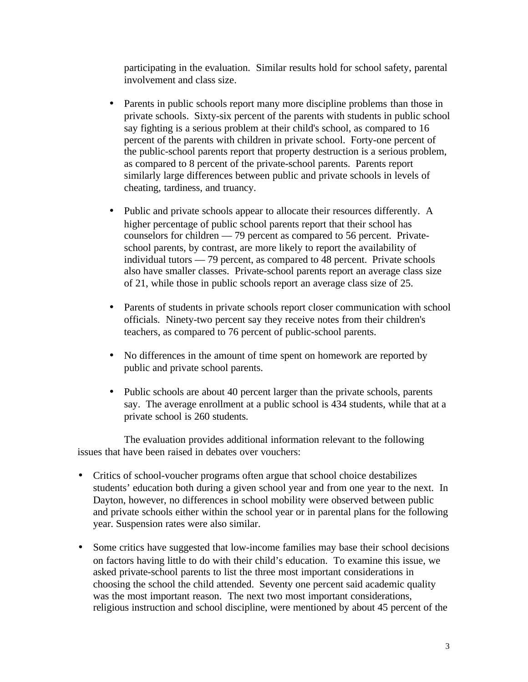participating in the evaluation. Similar results hold for school safety, parental involvement and class size.

- Parents in public schools report many more discipline problems than those in private schools. Sixty-six percent of the parents with students in public school say fighting is a serious problem at their child's school, as compared to 16 percent of the parents with children in private school. Forty-one percent of the public-school parents report that property destruction is a serious problem, as compared to 8 percent of the private-school parents. Parents report similarly large differences between public and private schools in levels of cheating, tardiness, and truancy.
- Public and private schools appear to allocate their resources differently. A higher percentage of public school parents report that their school has counselors for children — 79 percent as compared to 56 percent. Privateschool parents, by contrast, are more likely to report the availability of individual tutors — 79 percent, as compared to 48 percent. Private schools also have smaller classes. Private-school parents report an average class size of 21, while those in public schools report an average class size of 25.
- Parents of students in private schools report closer communication with school officials. Ninety-two percent say they receive notes from their children's teachers, as compared to 76 percent of public-school parents.
- No differences in the amount of time spent on homework are reported by public and private school parents.
- Public schools are about 40 percent larger than the private schools, parents say. The average enrollment at a public school is 434 students, while that at a private school is 260 students.

The evaluation provides additional information relevant to the following issues that have been raised in debates over vouchers:

- Critics of school-voucher programs often argue that school choice destabilizes students' education both during a given school year and from one year to the next. In Dayton, however, no differences in school mobility were observed between public and private schools either within the school year or in parental plans for the following year. Suspension rates were also similar.
- Some critics have suggested that low-income families may base their school decisions on factors having little to do with their child's education. To examine this issue, we asked private-school parents to list the three most important considerations in choosing the school the child attended. Seventy one percent said academic quality was the most important reason. The next two most important considerations, religious instruction and school discipline, were mentioned by about 45 percent of the